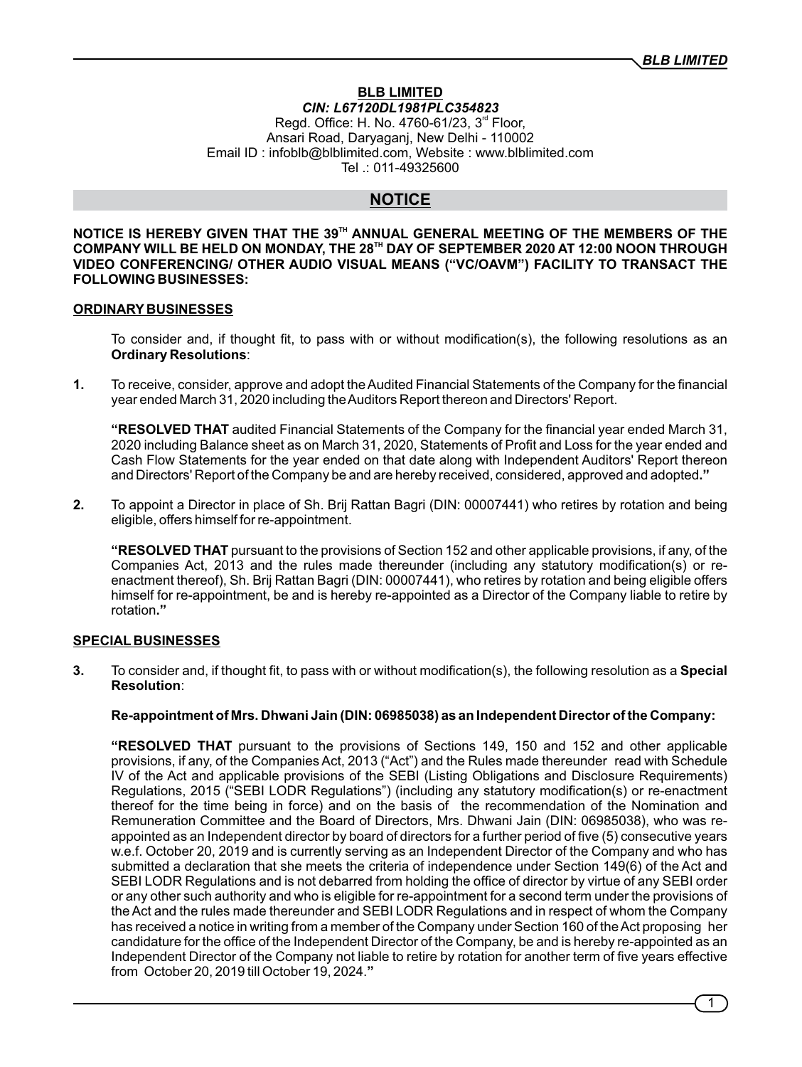#### **BLB LIMITED** *CIN: L67120DL1981PLC354823* Regd. Office: H. No. 4760-61/23,  $3<sup>rd</sup>$  Floor, Ansari Road, Daryaganj, New Delhi - 110002 Email ID : infoblb@blblimited.com, Website : www.blblimited.com Tel .: 011-49325600

# **NOTICE**

**TH NOTICE IS HEREBY GIVEN THAT THE 39 ANNUAL GENERAL MEETING OF THE MEMBERS OF THE TH COMPANY WILL BE HELD ON MONDAY, THE 28 DAY OF SEPTEMBER 2020 AT 12:00 NOON THROUGH VIDEO CONFERENCING/ OTHER AUDIO VISUAL MEANS ("VC/OAVM") FACILITY TO TRANSACT THE FOLLOWING BUSINESSES:**

#### **ORDINARY BUSINESSES**

To consider and, if thought fit, to pass with or without modification(s), the following resolutions as an **Ordinary Resolutions**:

**1.** To receive, consider, approve and adopt the Audited Financial Statements of the Company for the financial year ended March 31, 2020 including the Auditors Report thereon and Directors' Report.

**"RESOLVED THAT** audited Financial Statements of the Company for the financial year ended March 31, 2020 including Balance sheet as on March 31, 2020, Statements of Profit and Loss for the year ended and Cash Flow Statements for the year ended on that date along with Independent Auditors' Report thereon and Directors' Report of the Company be and are hereby received, considered, approved and adopted**."**

**2.** To appoint a Director in place of Sh. Brij Rattan Bagri (DIN: 00007441) who retires by rotation and being eligible, offers himself for re-appointment.

**"RESOLVED THAT** pursuant to the provisions of Section 152 and other applicable provisions, if any, of the Companies Act, 2013 and the rules made thereunder (including any statutory modification(s) or reenactment thereof), Sh. Brij Rattan Bagri (DIN: 00007441), who retires by rotation and being eligible offers himself for re-appointment, be and is hereby re-appointed as a Director of the Company liable to retire by rotation**."**

# **SPECIAL BUSINESSES**

**3.** To consider and, if thought fit, to pass with or without modification(s), the following resolution as a **Special Resolution**:

## **Re-appointment of Mrs. Dhwani Jain (DIN: 06985038) as an Independent Director of the Company:**

**"RESOLVED THAT** pursuant to the provisions of Sections 149, 150 and 152 and other applicable provisions, if any, of the Companies Act, 2013 ("Act") and the Rules made thereunder read with Schedule IV of the Act and applicable provisions of the SEBI (Listing Obligations and Disclosure Requirements) Regulations, 2015 ("SEBI LODR Regulations") (including any statutory modification(s) or re-enactment thereof for the time being in force) and on the basis of the recommendation of the Nomination and Remuneration Committee and the Board of Directors, Mrs. Dhwani Jain (DIN: 06985038), who was reappointed as an Independent director by board of directors for a further period of five (5) consecutive years w.e.f. October 20, 2019 and is currently serving as an Independent Director of the Company and who has submitted a declaration that she meets the criteria of independence under Section 149(6) of the Act and SEBI LODR Regulations and is not debarred from holding the office of director by virtue of any SEBI order or any other such authority and who is eligible for re-appointment for a second term under the provisions of the Act and the rules made thereunder and SEBI LODR Regulations and in respect of whom the Company has received a notice in writing from a member of the Company under Section 160 of the Act proposing her candidature for the office of the Independent Director of the Company, be and is hereby re-appointed as an Independent Director of the Company not liable to retire by rotation for another term of five years effective from October 20, 2019 till October 19, 2024.**"**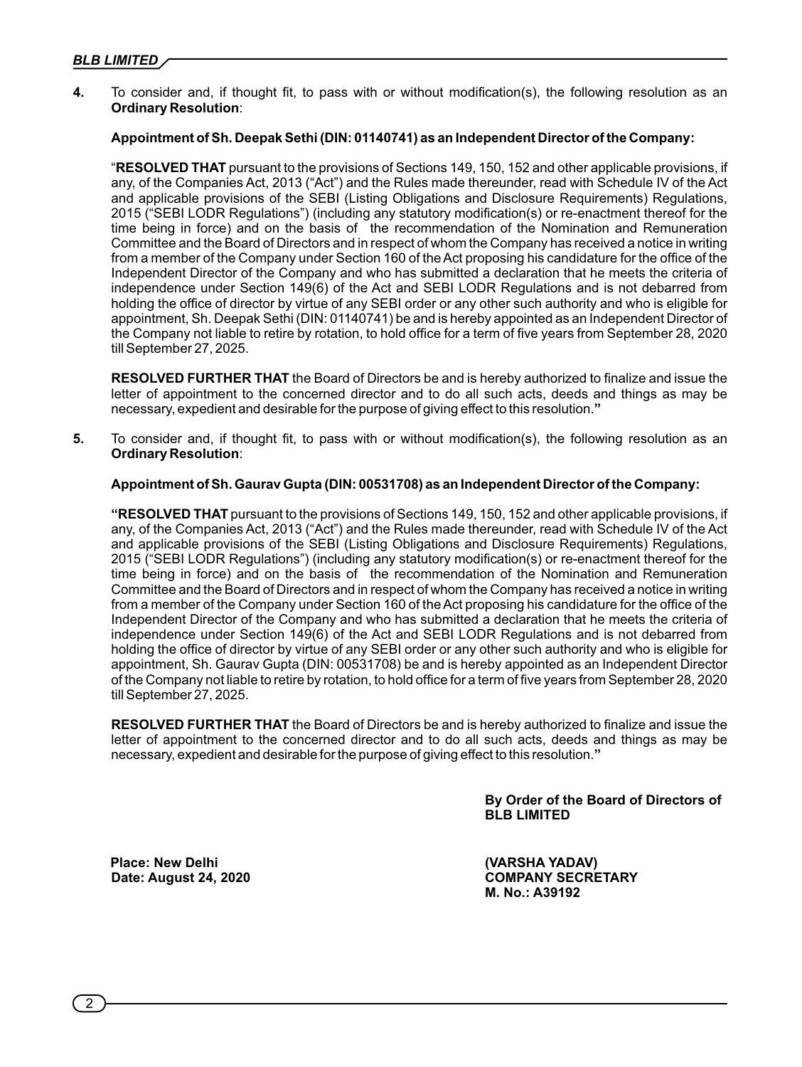**4.** To consider and, if thought fit, to pass with or without modification(s), the following resolution as an **Ordinary Resolution**:

## **Appointment of Sh. Deepak Sethi (DIN: 01140741) as an Independent Director of the Company:**

"**RESOLVED THAT** pursuant to the provisions of Sections 149, 150, 152 and other applicable provisions, if any, of the Companies Act, 2013 ("Act") and the Rules made thereunder, read with Schedule IV of the Act and applicable provisions of the SEBI (Listing Obligations and Disclosure Requirements) Regulations, 2015 ("SEBI LODR Regulations") (including any statutory modification(s) or re-enactment thereof for the time being in force) and on the basis of the recommendation of the Nomination and Remuneration Committee and the Board of Directors and in respect of whom the Company has received a notice in writing from a member of the Company under Section 160 of the Act proposing his candidature for the office of the Independent Director of the Company and who has submitted a declaration that he meets the criteria of independence under Section 149(6) of the Act and SEBI LODR Regulations and is not debarred from holding the office of director by virtue of any SEBI order or any other such authority and who is eligible for appointment, Sh. Deepak Sethi (DIN: 01140741) be and is hereby appointed as an Independent Director of the Company not liable to retire by rotation, to hold office for a term of five years from September 28, 2020 till September 27, 2025.

**RESOLVED FURTHER THAT** the Board of Directors be and is hereby authorized to finalize and issue the letter of appointment to the concerned director and to do all such acts, deeds and things as may be necessary, expedient and desirable for the purpose of giving effect to this resolution.**"**

**5.** To consider and, if thought fit, to pass with or without modification(s), the following resolution as an **Ordinary Resolution**:

## **Appointment of Sh. Gaurav Gupta (DIN: 00531708) as an Independent Director of the Company:**

**"RESOLVED THAT** pursuant to the provisions of Sections 149, 150, 152 and other applicable provisions, if any, of the Companies Act, 2013 ("Act") and the Rules made thereunder, read with Schedule IV of the Act and applicable provisions of the SEBI (Listing Obligations and Disclosure Requirements) Regulations, 2015 ("SEBI LODR Regulations") (including any statutory modification(s) or re-enactment thereof for the time being in force) and on the basis of the recommendation of the Nomination and Remuneration Committee and the Board of Directors and in respect of whom the Company has received a notice in writing from a member of the Company under Section 160 of the Act proposing his candidature for the office of the Independent Director of the Company and who has submitted a declaration that he meets the criteria of independence under Section 149(6) of the Act and SEBI LODR Regulations and is not debarred from holding the office of director by virtue of any SEBI order or any other such authority and who is eligible for appointment, Sh. Gaurav Gupta (DIN: 00531708) be and is hereby appointed as an Independent Director of the Company not liable to retire by rotation, to hold office for a term of five years from September 28, 2020 till September 27, 2025.

**RESOLVED FURTHER THAT** the Board of Directors be and is hereby authorized to finalize and issue the letter of appointment to the concerned director and to do all such acts, deeds and things as may be necessary, expedient and desirable for the purpose of giving effect to this resolution.**"**

> **By Order of the Board of Directors of BLB LIMITED**

**Date: August 24, 2020** 

Place: New Delhi (VARSHA YADAV)<br>Date: August 24. 2020 **COMPANY SECRETARY M. No.: A39192**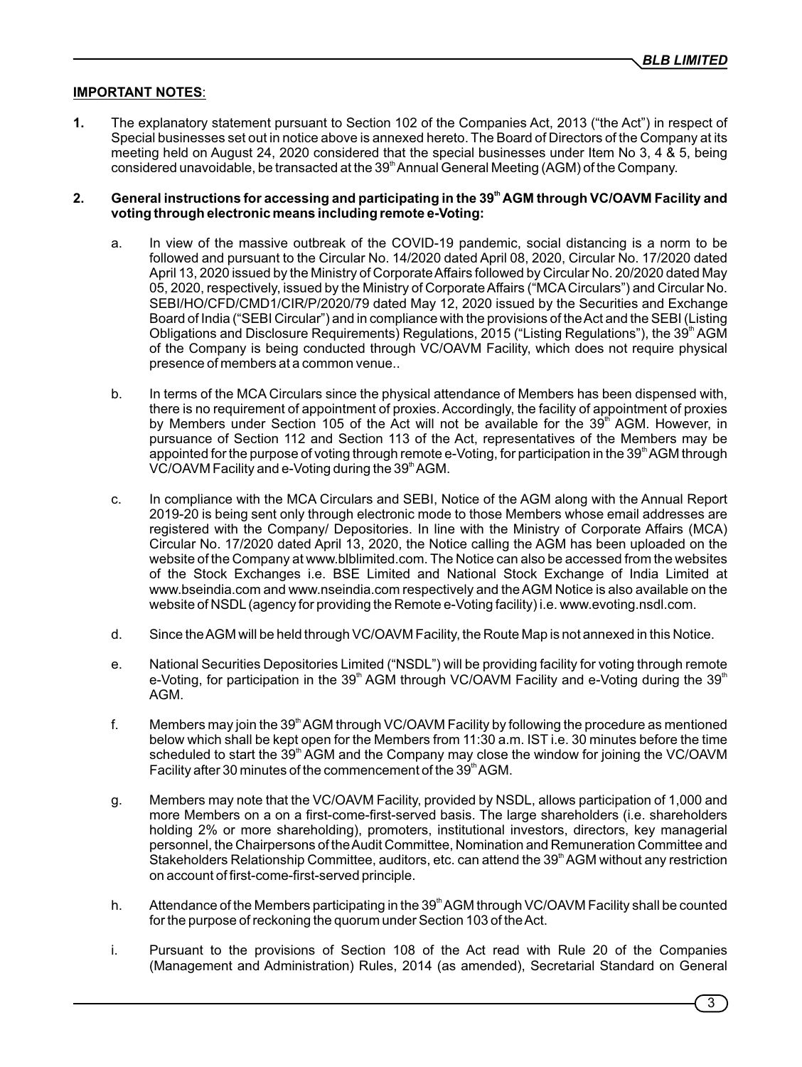# **IMPORTANT NOTES**:

**1.** The explanatory statement pursuant to Section 102 of the Companies Act, 2013 ("the Act") in respect of Special businesses set out in notice above is annexed hereto. The Board of Directors of the Company at its meeting held on August 24, 2020 considered that the special businesses under Item No 3, 4 & 5, being considered unavoidable, be transacted at the 39<sup>th</sup> Annual General Meeting (AGM) of the Company.

### **th 2. General instructions for accessing and participating in the 39 AGM through VC/OAVM Facility and voting through electronic means including remote e-Voting:**

- a. In view of the massive outbreak of the COVID-19 pandemic, social distancing is a norm to be followed and pursuant to the Circular No. 14/2020 dated April 08, 2020, Circular No. 17/2020 dated April 13, 2020 issued by the Ministry of Corporate Affairs followed by Circular No. 20/2020 dated May 05, 2020, respectively, issued by the Ministry of Corporate Affairs ("MCACirculars") and Circular No. SEBI/HO/CFD/CMD1/CIR/P/2020/79 dated May 12, 2020 issued by the Securities and Exchange Board of India ("SEBI Circular") and in compliance with the provisions of the Act and the SEBI (Listing Obligations and Disclosure Requirements) Regulations, 2015 ("Listing Regulations"), the 39<sup>th</sup> AGM of the Company is being conducted through VC/OAVM Facility, which does not require physical presence of members at a common venue..
- b. In terms of the MCA Circulars since the physical attendance of Members has been dispensed with, there is no requirement of appointment of proxies. Accordingly, the facility of appointment of proxies by Members under Section 105 of the Act will not be available for the  $39<sup>th</sup>$  AGM. However, in pursuance of Section 112 and Section 113 of the Act, representatives of the Members may be appointed for the purpose of voting through remote e-Voting, for participation in the 39<sup>th</sup> AGM through  $VC/OAVM$  Facility and e-Voting during the 39<sup>th</sup> AGM.
- c. In compliance with the MCA Circulars and SEBI, Notice of the AGM along with the Annual Report 2019-20 is being sent only through electronic mode to those Members whose email addresses are registered with the Company/ Depositories. In line with the Ministry of Corporate Affairs (MCA) Circular No. 17/2020 dated April 13, 2020, the Notice calling the AGM has been uploaded on the website of the Company at www.blblimited.com. The Notice can also be accessed from the websites of the Stock Exchanges i.e. BSE Limited and National Stock Exchange of India Limited at www.bseindia.com and www.nseindia.com respectively and the AGM Notice is also available on the website of NSDL(agency for providing the Remote e-Voting facility) i.e. www.evoting.nsdl.com.
- d. Since the AGM will be held through VC/OAVM Facility, the Route Map is not annexed in this Notice.
- e. National Securities Depositories Limited ("NSDL") will be providing facility for voting through remote e-Voting, for participation in the 39<sup>th</sup> AGM through VC/OAVM Facility and e-Voting during the 39<sup>th</sup> AGM.
- f. Members may join the 39<sup>th</sup> AGM through VC/OAVM Facility by following the procedure as mentioned below which shall be kept open for the Members from 11:30 a.m. IST i.e. 30 minutes before the time scheduled to start the 39<sup>th</sup> AGM and the Company may close the window for joining the VC/OAVM Facility after 30 minutes of the commencement of the 39<sup>th</sup> AGM.
- g. Members may note that the VC/OAVM Facility, provided by NSDL, allows participation of 1,000 and more Members on a on a first-come-first-served basis. The large shareholders (i.e. shareholders holding 2% or more shareholding), promoters, institutional investors, directors, key managerial personnel, the Chairpersons of the Audit Committee, Nomination and Remuneration Committee and Stakeholders Relationship Committee, auditors, etc. can attend the 39<sup>th</sup> AGM without any restriction on account of first-come-first-served principle.
- h. Attendance of the Members participating in the  $39<sup>th</sup> AGM$  through VC/OAVM Facility shall be counted for the purpose of reckoning the quorum under Section 103 of the Act.
- i. Pursuant to the provisions of Section 108 of the Act read with Rule 20 of the Companies (Management and Administration) Rules, 2014 (as amended), Secretarial Standard on General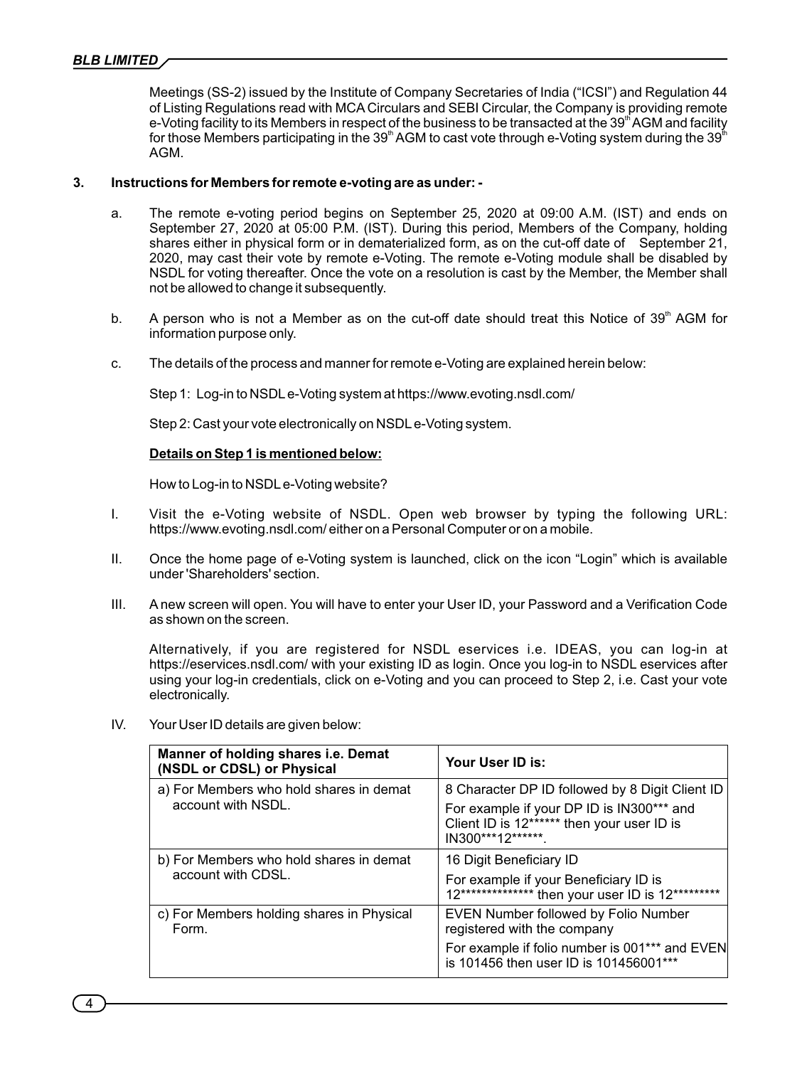Meetings (SS-2) issued by the Institute of Company Secretaries of India ("ICSI") and Regulation 44 of Listing Regulations read with MCA Circulars and SEBI Circular, the Company is providing remote e-Voting facility to its Members in respect of the business to be transacted at the 39<sup>th</sup> AGM and facility for those Members participating in the 39<sup>th</sup> AGM to cast vote through e-Voting system during the 39<sup>th</sup> AGM.

### **3. Instructions for Members for remote e-voting are as under: -**

- a. The remote e-voting period begins on September 25, 2020 at 09:00 A.M. (IST) and ends on September 27, 2020 at 05:00 P.M. (IST). During this period, Members of the Company, holding shares either in physical form or in dematerialized form, as on the cut-off date of September 21, 2020, may cast their vote by remote e-Voting. The remote e-Voting module shall be disabled by NSDL for voting thereafter. Once the vote on a resolution is cast by the Member, the Member shall not be allowed to change it subsequently.
- b. A person who is not a Member as on the cut-off date should treat this Notice of  $39<sup>th</sup>$  AGM for information purpose only.
- c. The details of the process and manner for remote e-Voting are explained herein below:

Step 1: Log-in to NSDLe-Voting system at https://www.evoting.nsdl.com/

Step 2: Cast your vote electronically on NSDLe-Voting system.

#### **Details on Step 1 is mentioned below:**

How to Log-in to NSDLe-Voting website?

- I. Visit the e-Voting website of NSDL. Open web browser by typing the following URL: https://www.evoting.nsdl.com/ either on a Personal Computer or on a mobile.
- II. Once the home page of e-Voting system is launched, click on the icon "Login" which is available under 'Shareholders' section.
- III. A new screen will open. You will have to enter your User ID, your Password and a Verification Code as shown on the screen.

Alternatively, if you are registered for NSDL eservices i.e. IDEAS, you can log-in at https://eservices.nsdl.com/ with your existing ID as login. Once you log-in to NSDL eservices after using your log-in credentials, click on e-Voting and you can proceed to Step 2, i.e. Cast your vote electronically.

IV. Your User ID details are given below:

| Manner of holding shares i.e. Demat<br>(NSDL or CDSL) or Physical | Your User ID is:                                                                                                                                                       |
|-------------------------------------------------------------------|------------------------------------------------------------------------------------------------------------------------------------------------------------------------|
| a) For Members who hold shares in demat<br>account with NSDL.     | 8 Character DP ID followed by 8 Digit Client ID<br>For example if your DP ID is IN300*** and<br>Client ID is 12****** then your user ID is<br>IN300***12*******.       |
| b) For Members who hold shares in demat<br>account with CDSL.     | 16 Digit Beneficiary ID<br>For example if your Beneficiary ID is<br>12*************** then your user ID is 12**********                                                |
| c) For Members holding shares in Physical<br>Form.                | <b>EVEN Number followed by Folio Number</b><br>registered with the company<br>For example if folio number is 001*** and EVEN<br>is 101456 then user ID is 101456001*** |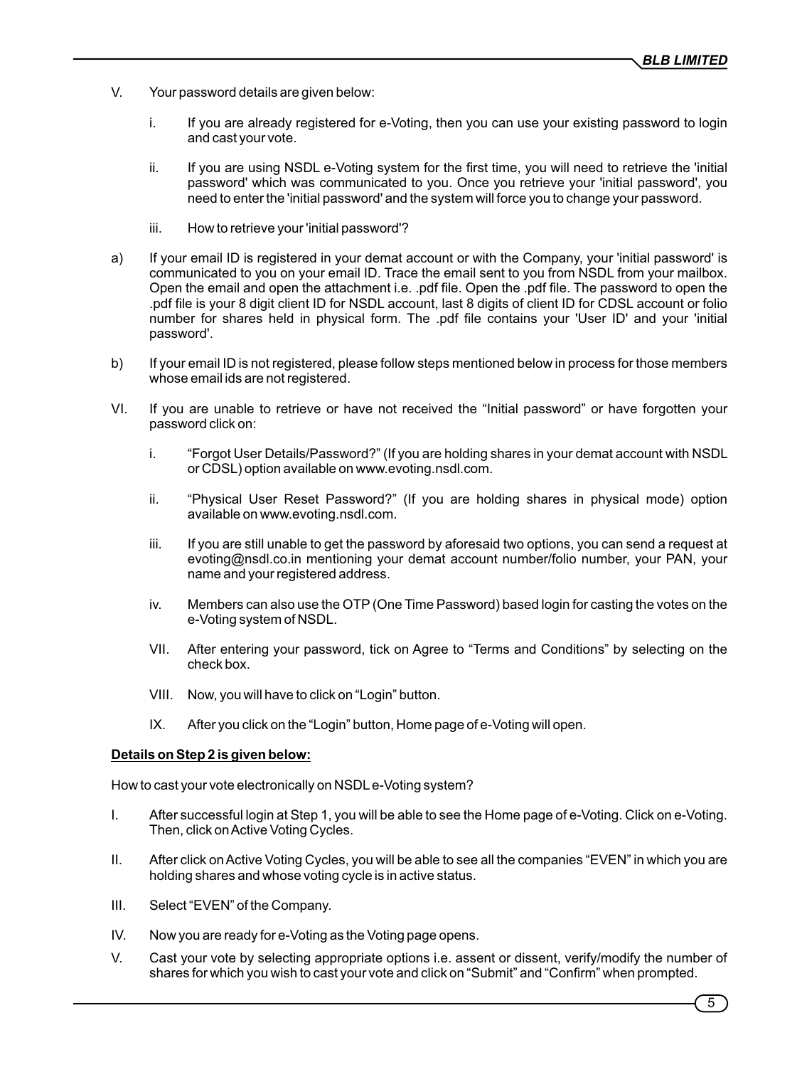- V. Your password details are given below:
	- i. If you are already registered for e-Voting, then you can use your existing password to login and cast your vote.
	- ii. If you are using NSDL e-Voting system for the first time, you will need to retrieve the 'initial password' which was communicated to you. Once you retrieve your 'initial password', you need to enter the 'initial password' and the system will force you to change your password.
	- iii. How to retrieve your 'initial password'?
- a) If your email ID is registered in your demat account or with the Company, your 'initial password' is communicated to you on your email ID. Trace the email sent to you from NSDL from your mailbox. Open the email and open the attachment i.e. .pdf file. Open the .pdf file. The password to open the .pdf file is your 8 digit client ID for NSDL account, last 8 digits of client ID for CDSL account or folio number for shares held in physical form. The .pdf file contains your 'User ID' and your 'initial password'.
- b) If your email ID is not registered, please follow steps mentioned below in process for those members whose email ids are not registered.
- VI. If you are unable to retrieve or have not received the "Initial password" or have forgotten your password click on:
	- i. "Forgot User Details/Password?" (If you are holding shares in your demat account with NSDL or CDSL) option available on www.evoting.nsdl.com.
	- ii. "Physical User Reset Password?" (If you are holding shares in physical mode) option available on www.evoting.nsdl.com.
	- iii. If you are still unable to get the password by aforesaid two options, you can send a request at evoting@nsdl.co.in mentioning your demat account number/folio number, your PAN, your name and your registered address.
	- iv. Members can also use the OTP(One Time Password) based login for casting the votes on the e-Voting system of NSDL.
	- VII. After entering your password, tick on Agree to "Terms and Conditions" by selecting on the check box.
	- VIII. Now, you will have to click on "Login" button.
	- IX. After you click on the "Login" button, Home page of e-Voting will open.

#### **Details on Step 2 is given below:**

How to cast your vote electronically on NSDLe-Voting system?

- I. After successful login at Step 1, you will be able to see the Home page of e-Voting. Click on e-Voting. Then, click on Active Voting Cycles.
- II. After click on Active Voting Cycles, you will be able to see all the companies "EVEN" in which you are holding shares and whose voting cycle is in active status.
- III. Select "EVEN" of the Company.
- IV. Now you are ready for e-Voting as the Voting page opens.
- V. Cast your vote by selecting appropriate options i.e. assent or dissent, verify/modify the number of shares for which you wish to cast your vote and click on "Submit" and "Confirm" when prompted.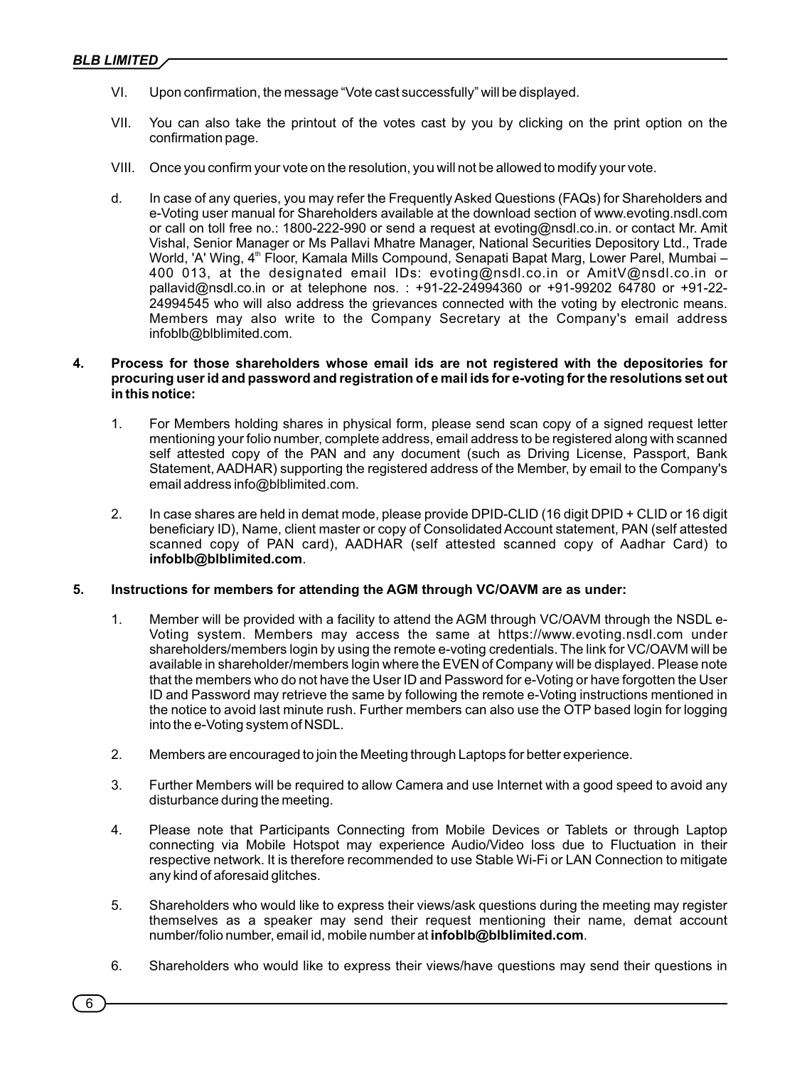- VI. Upon conrmation, the message "Vote cast successfully" will be displayed.
- VII. You can also take the printout of the votes cast by you by clicking on the print option on the confirmation page.
- VIII. Once you confirm your vote on the resolution, you will not be allowed to modify your vote.
- d. In case of any queries, you may refer the Frequently Asked Questions (FAQs) for Shareholders and e-Voting user manual for Shareholders available at the download section of www.evoting.nsdl.com or call on toll free no.: 1800-222-990 or send a request at evoting@nsdl.co.in. or contact Mr. Amit Vishal, Senior Manager or Ms Pallavi Mhatre Manager, National Securities Depository Ltd., Trade World, 'A' Wing, 4<sup>th</sup> Floor, Kamala Mills Compound, Senapati Bapat Marg, Lower Parel, Mumbai – 400 013, at the designated email IDs: evoting@nsdl.co.in or AmitV@nsdl.co.in or pallavid@nsdl.co.in or at telephone nos. : +91-22-24994360 or +91-99202 64780 or +91-22- 24994545 who will also address the grievances connected with the voting by electronic means. Members may also write to the Company Secretary at the Company's email address infoblb@blblimited.com.

### **4. Process for those shareholders whose email ids are not registered with the depositories for procuring user id and password and registration of e mail ids for e-voting for the resolutions set out in this notice:**

- 1. For Members holding shares in physical form, please send scan copy of a signed request letter mentioning your folio number, complete address, email address to be registered along with scanned self attested copy of the PAN and any document (such as Driving License, Passport, Bank Statement, AADHAR) supporting the registered address of the Member, by email to the Company's email address info@blblimited.com.
- 2. In case shares are held in demat mode, please provide DPID-CLID (16 digit DPID + CLID or 16 digit beneficiary ID), Name, client master or copy of Consolidated Account statement, PAN (self attested scanned copy of PAN card), AADHAR (self attested scanned copy of Aadhar Card) to **infoblb@blblimited.com**.

## **5. Instructions for members for attending the AGM through VC/OAVM are as under:**

- 1. Member will be provided with a facility to attend the AGM through VC/OAVM through the NSDL e-Voting system. Members may access the same at https://www.evoting.nsdl.com under shareholders/members login by using the remote e-voting credentials. The link for VC/OAVM will be available in shareholder/members login where the EVEN of Company will be displayed. Please note that the members who do not have the User ID and Password for e-Voting or have forgotten the User ID and Password may retrieve the same by following the remote e-Voting instructions mentioned in the notice to avoid last minute rush. Further members can also use the OTP based login for logging into the e-Voting system of NSDL.
- 2. Members are encouraged to join the Meeting through Laptops for better experience.
- 3. Further Members will be required to allow Camera and use Internet with a good speed to avoid any disturbance during the meeting.
- 4. Please note that Participants Connecting from Mobile Devices or Tablets or through Laptop connecting via Mobile Hotspot may experience Audio/Video loss due to Fluctuation in their respective network. It is therefore recommended to use Stable Wi-Fi or LAN Connection to mitigate any kind of aforesaid glitches.
- 5. Shareholders who would like to express their views/ask questions during the meeting may register themselves as a speaker may send their request mentioning their name, demat account number/folio number, email id, mobile number at **infoblb@blblimited.com**.
- 6. Shareholders who would like to express their views/have questions may send their questions in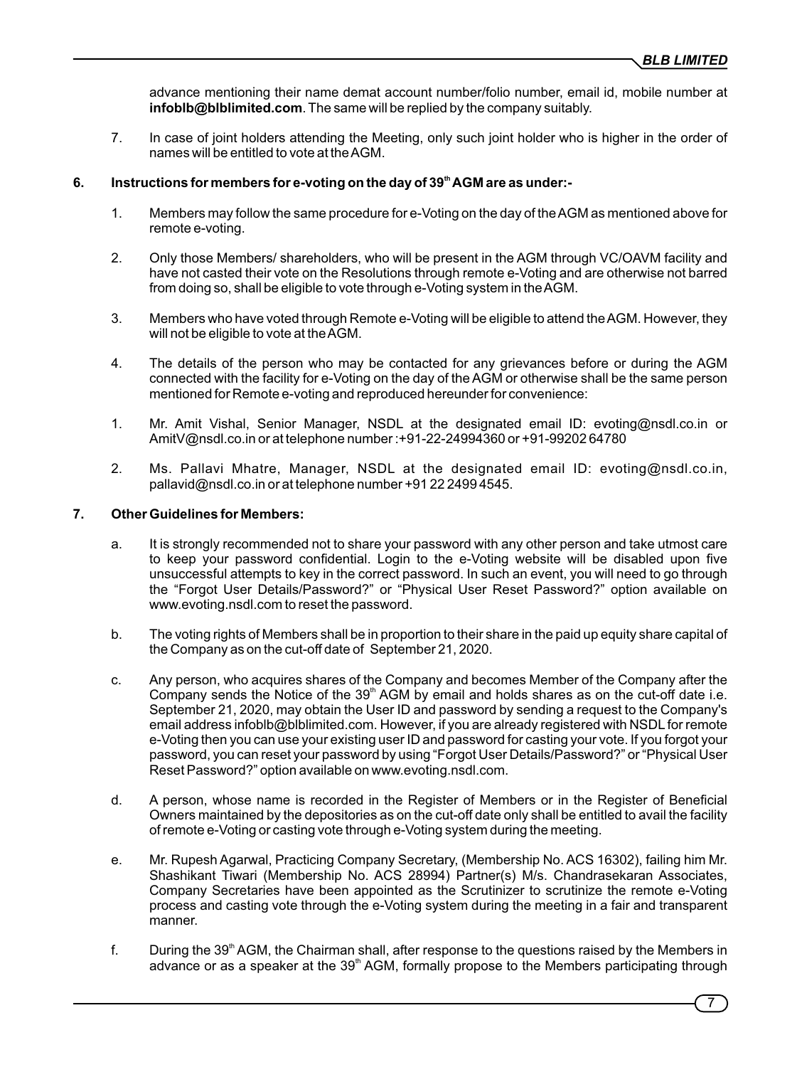advance mentioning their name demat account number/folio number, email id, mobile number at **infoblb@blblimited.com**. The same will be replied by the company suitably.

7. In case of joint holders attending the Meeting, only such joint holder who is higher in the order of names will be entitled to vote at the AGM.

## **th 6. Instructions for members for e-voting on the day of 39 AGM are as under:-**

- 1. Members may follow the same procedure for e-Voting on the day of the AGM as mentioned above for remote e-voting.
- 2. Only those Members/ shareholders, who will be present in the AGM through VC/OAVM facility and have not casted their vote on the Resolutions through remote e-Voting and are otherwise not barred from doing so, shall be eligible to vote through e-Voting system in the AGM.
- 3. Members who have voted through Remote e-Voting will be eligible to attend the AGM. However, they will not be eligible to vote at the AGM.
- 4. The details of the person who may be contacted for any grievances before or during the AGM connected with the facility for e-Voting on the day of the AGM or otherwise shall be the same person mentioned for Remote e-voting and reproduced hereunder for convenience:
- 1. Mr. Amit Vishal, Senior Manager, NSDL at the designated email ID: evoting@nsdl.co.in or AmitV@nsdl.co.in or at telephone number :+91-22-24994360 or +91-99202 64780
- 2. Ms. Pallavi Mhatre, Manager, NSDL at the designated email ID: evoting@nsdl.co.in, pallavid@nsdl.co.in or at telephone number +91 22 2499 4545.

#### **7. Other Guidelines for Members:**

- a. It is strongly recommended not to share your password with any other person and take utmost care to keep your password confidential. Login to the e-Voting website will be disabled upon five unsuccessful attempts to key in the correct password. In such an event, you will need to go through the "Forgot User Details/Password?" or "Physical User Reset Password?" option available on www.evoting.nsdl.com to reset the password.
- b. The voting rights of Members shall be in proportion to their share in the paid up equity share capital of the Company as on the cut-off date of September 21, 2020.
- c. Any person, who acquires shares of the Company and becomes Member of the Company after the Company sends the Notice of the 39<sup>th</sup> AGM by email and holds shares as on the cut-off date i.e. September 21, 2020, may obtain the User ID and password by sending a request to the Company's email address infoblb@blblimited.com. However, if you are already registered with NSDL for remote e-Voting then you can use your existing user ID and password for casting your vote. If you forgot your password, you can reset your password by using "Forgot User Details/Password?" or "Physical User Reset Password?" option available on www.evoting.nsdl.com.
- d. A person, whose name is recorded in the Register of Members or in the Register of Beneficial Owners maintained by the depositories as on the cut-off date only shall be entitled to avail the facility of remote e-Voting or casting vote through e-Voting system during the meeting.
- e. Mr. Rupesh Agarwal, Practicing Company Secretary, (Membership No. ACS 16302), failing him Mr. Shashikant Tiwari (Membership No. ACS 28994) Partner(s) M/s. Chandrasekaran Associates, Company Secretaries have been appointed as the Scrutinizer to scrutinize the remote e-Voting process and casting vote through the e-Voting system during the meeting in a fair and transparent manner.
- f. During the  $39<sup>th</sup>$  AGM, the Chairman shall, after response to the questions raised by the Members in advance or as a speaker at the 39<sup>th</sup> AGM, formally propose to the Members participating through

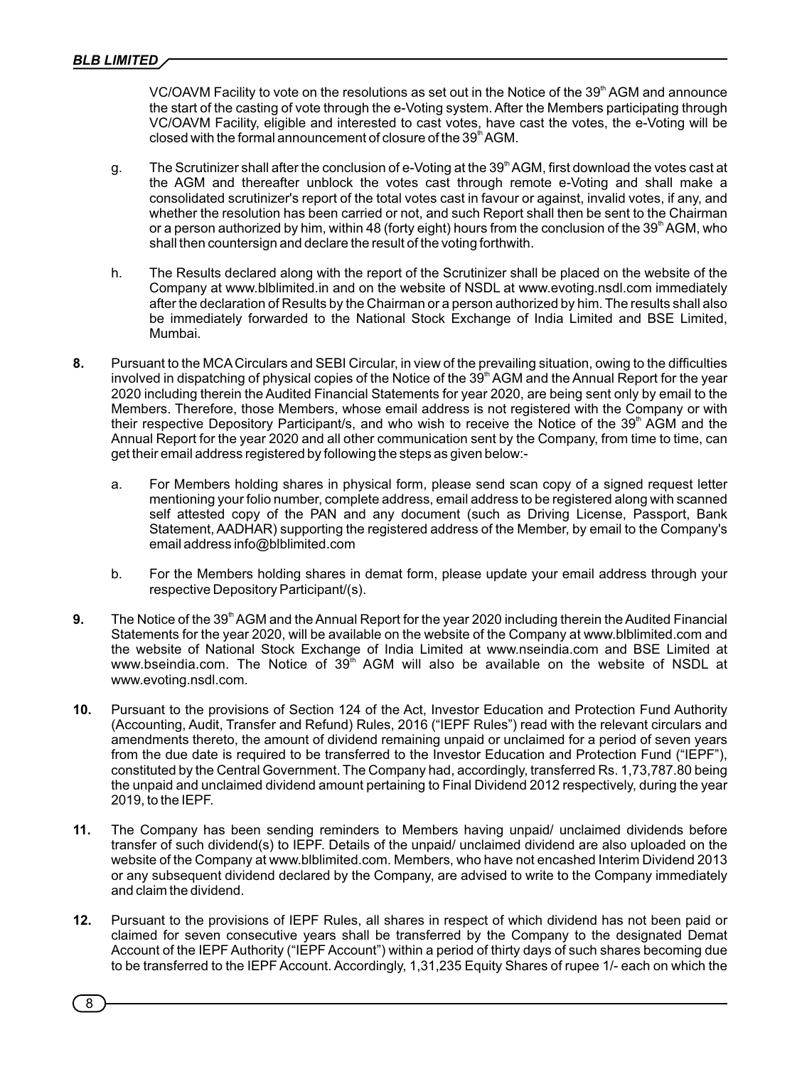VC/OAVM Facility to vote on the resolutions as set out in the Notice of the  $39<sup>th</sup>$  AGM and announce the start of the casting of vote through the e-Voting system. After the Members participating through VC/OAVM Facility, eligible and interested to cast votes, have cast the votes, the e-Voting will be closed with the formal announcement of closure of the 39<sup>th</sup> AGM.

- g. The Scrutinizer shall after the conclusion of e-Voting at the 39<sup>th</sup> AGM, first download the votes cast at the AGM and thereafter unblock the votes cast through remote e-Voting and shall make a consolidated scrutinizer's report of the total votes cast in favour or against, invalid votes, if any, and whether the resolution has been carried or not, and such Report shall then be sent to the Chairman or a person authorized by him, within 48 (forty eight) hours from the conclusion of the 39<sup>th</sup> AGM, who shall then countersign and declare the result of the voting forthwith.
- h. The Results declared along with the report of the Scrutinizer shall be placed on the website of the Company at www.blblimited.in and on the website of NSDL at www.evoting.nsdl.com immediately after the declaration of Results by the Chairman or a person authorized by him. The results shall also be immediately forwarded to the National Stock Exchange of India Limited and BSE Limited, Mumbai.
- **8.** Pursuant to the MCA Circulars and SEBI Circular, in view of the prevailing situation, owing to the difficulties involved in dispatching of physical copies of the Notice of the 39<sup>th</sup> AGM and the Annual Report for the year 2020 including therein the Audited Financial Statements for year 2020, are being sent only by email to the Members. Therefore, those Members, whose email address is not registered with the Company or with their respective Depository Participant/s, and who wish to receive the Notice of the 39<sup>th</sup> AGM and the Annual Report for the year 2020 and all other communication sent by the Company, from time to time, can get their email address registered by following the steps as given below:
	- a. For Members holding shares in physical form, please send scan copy of a signed request letter mentioning your folio number, complete address, email address to be registered along with scanned self attested copy of the PAN and any document (such as Driving License, Passport, Bank Statement, AADHAR) supporting the registered address of the Member, by email to the Company's email address info@blblimited.com
	- b. For the Members holding shares in demat form, please update your email address through your respective Depository Participant/(s).
- 9. The Notice of the 39<sup>th</sup> AGM and the Annual Report for the year 2020 including therein the Audited Financial Statements for the year 2020, will be available on the website of the Company at www.blblimited.com and the website of National Stock Exchange of India Limited at www.nseindia.com and BSE Limited at www.bseindia.com. The Notice of  $39<sup>th</sup>$  AGM will also be available on the website of NSDL at www.evoting.nsdl.com.
- **10.** Pursuant to the provisions of Section 124 of the Act, Investor Education and Protection Fund Authority (Accounting, Audit, Transfer and Refund) Rules, 2016 ("IEPF Rules") read with the relevant circulars and amendments thereto, the amount of dividend remaining unpaid or unclaimed for a period of seven years from the due date is required to be transferred to the Investor Education and Protection Fund ("IEPF"), constituted by the Central Government. The Company had, accordingly, transferred Rs. 1,73,787.80 being the unpaid and unclaimed dividend amount pertaining to Final Dividend 2012 respectively, during the year 2019, to the IEPF.
- **11.** The Company has been sending reminders to Members having unpaid/ unclaimed dividends before transfer of such dividend(s) to IEPF. Details of the unpaid/ unclaimed dividend are also uploaded on the website of the Company at www.blblimited.com. Members, who have not encashed Interim Dividend 2013 or any subsequent dividend declared by the Company, are advised to write to the Company immediately and claim the dividend.
- **12.** Pursuant to the provisions of IEPF Rules, all shares in respect of which dividend has not been paid or claimed for seven consecutive years shall be transferred by the Company to the designated Demat Account of the IEPF Authority ("IEPF Account") within a period of thirty days of such shares becoming due to be transferred to the IEPF Account. Accordingly, 1,31,235 Equity Shares of rupee 1/- each on which the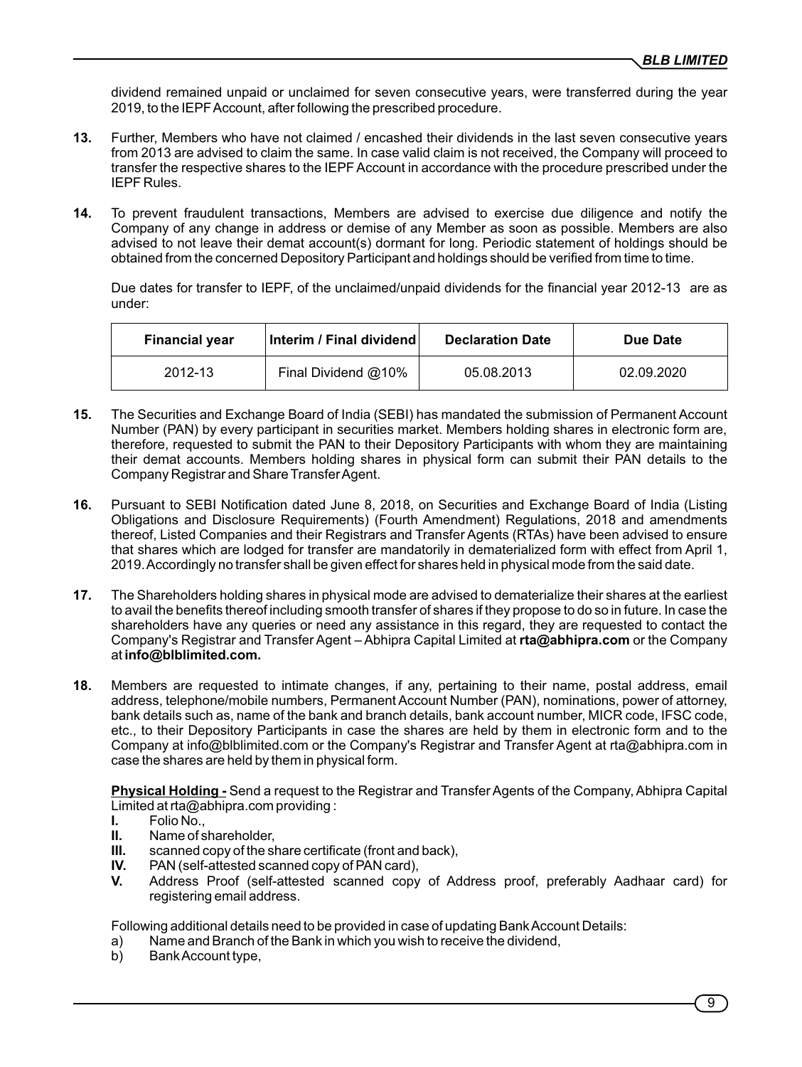dividend remained unpaid or unclaimed for seven consecutive years, were transferred during the year 2019, to the IEPF Account, after following the prescribed procedure.

- **13.** Further, Members who have not claimed / encashed their dividends in the last seven consecutive years from 2013 are advised to claim the same. In case valid claim is not received, the Company will proceed to transfer the respective shares to the IEPF Account in accordance with the procedure prescribed under the IEPF Rules.
- **14.** To prevent fraudulent transactions, Members are advised to exercise due diligence and notify the Company of any change in address or demise of any Member as soon as possible. Members are also advised to not leave their demat account(s) dormant for long. Periodic statement of holdings should be obtained from the concerned Depository Participant and holdings should be veried from time to time.

Due dates for transfer to IEPF, of the unclaimed/unpaid dividends for the financial year 2012-13 are as under:

| <b>Financial year</b> | Interim / Final dividend | <b>Declaration Date</b> | Due Date   |
|-----------------------|--------------------------|-------------------------|------------|
| 2012-13               | Final Dividend @10%      | 05.08.2013              | 02.09.2020 |

- **15.** The Securities and Exchange Board of India (SEBI) has mandated the submission of Permanent Account Number (PAN) by every participant in securities market. Members holding shares in electronic form are, therefore, requested to submit the PAN to their Depository Participants with whom they are maintaining their demat accounts. Members holding shares in physical form can submit their PAN details to the Company Registrar and Share Transfer Agent.
- 16. Pursuant to SEBI Notification dated June 8, 2018, on Securities and Exchange Board of India (Listing Obligations and Disclosure Requirements) (Fourth Amendment) Regulations, 2018 and amendments thereof, Listed Companies and their Registrars and Transfer Agents (RTAs) have been advised to ensure that shares which are lodged for transfer are mandatorily in dematerialized form with effect from April 1, 2019. Accordingly no transfer shall be given effect for shares held in physical mode from the said date.
- **17.** The Shareholders holding shares in physical mode are advised to dematerialize their shares at the earliest to avail the benefits thereof including smooth transfer of shares if they propose to do so in future. In case the shareholders have any queries or need any assistance in this regard, they are requested to contact the Company's Registrar and Transfer Agent – Abhipra Capital Limited at **rta@abhipra.com** or the Company at **info@blblimited.com.**
- **18.** Members are requested to intimate changes, if any, pertaining to their name, postal address, email address, telephone/mobile numbers, Permanent Account Number (PAN), nominations, power of attorney, bank details such as, name of the bank and branch details, bank account number, MICR code, IFSC code, etc., to their Depository Participants in case the shares are held by them in electronic form and to the Company at info@blblimited.com or the Company's Registrar and Transfer Agent at rta@abhipra.com in case the shares are held by them in physical form.

**Physical Holding -** Send a request to the Registrar and Transfer Agents of the Company, Abhipra Capital Limited at rta@abhipra.com providing :

- **I.** Folio No.,
- **II.** Name of shareholder,
- **III.** scanned copy of the share certificate (front and back),<br>**IV.** PAN (self-attested scanned copy of PAN card),
- PAN (self-attested scanned copy of PAN card),
- **V.** Address Proof (self-attested scanned copy of Address proof, preferably Aadhaar card) for registering email address.

Following additional details need to be provided in case of updating Bank Account Details:

- a) Name and Branch of the Bank in which you wish to receive the dividend,
- b) Bank Account type,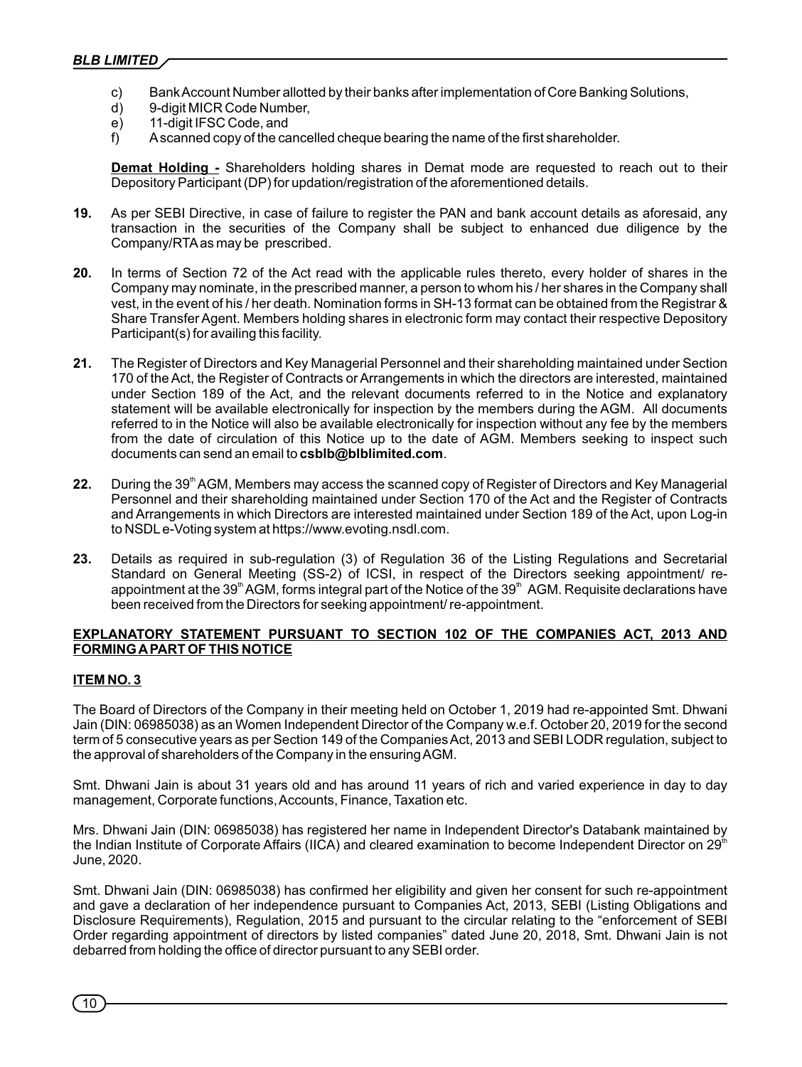- c) Bank Account Number allotted by their banks after implementation of Core Banking Solutions,
- d) 9-digit MICR Code Number,
- e) 11-digit IFSC Code, and
- f) Ascanned copy of the cancelled cheque bearing the name of the first shareholder.

**Demat Holding -** Shareholders holding shares in Demat mode are requested to reach out to their Depository Participant (DP) for updation/registration of the aforementioned details.

- **19.** As per SEBI Directive, in case of failure to register the PAN and bank account details as aforesaid, any transaction in the securities of the Company shall be subject to enhanced due diligence by the Company/RTAas may be prescribed.
- **20.** In terms of Section 72 of the Act read with the applicable rules thereto, every holder of shares in the Company may nominate, in the prescribed manner, a person to whom his / her shares in the Company shall vest, in the event of his / her death. Nomination forms in SH-13 format can be obtained from the Registrar & Share Transfer Agent. Members holding shares in electronic form may contact their respective Depository Participant(s) for availing this facility.
- **21.** The Register of Directors and Key Managerial Personnel and their shareholding maintained under Section 170 of the Act, the Register of Contracts or Arrangements in which the directors are interested, maintained under Section 189 of the Act, and the relevant documents referred to in the Notice and explanatory statement will be available electronically for inspection by the members during the AGM. All documents referred to in the Notice will also be available electronically for inspection without any fee by the members from the date of circulation of this Notice up to the date of AGM. Members seeking to inspect such documents can send an email to **csblb@blblimited.com**.
- 22. During the 39<sup>th</sup> AGM, Members may access the scanned copy of Register of Directors and Key Managerial Personnel and their shareholding maintained under Section 170 of the Act and the Register of Contracts and Arrangements in which Directors are interested maintained under Section 189 of the Act, upon Log-in to NSDLe-Voting system at https://www.evoting.nsdl.com.
- **23.** Details as required in sub-regulation (3) of Regulation 36 of the Listing Regulations and Secretarial Standard on General Meeting (SS-2) of ICSI, in respect of the Directors seeking appointment/ reappointment at the 39<sup>th</sup> AGM, forms integral part of the Notice of the 39<sup>th</sup> AGM. Requisite declarations have been received from the Directors for seeking appointment/ re-appointment.

# **EXPLANATORY STATEMENT PURSUANT TO SECTION 102 OF THE COMPANIES ACT, 2013 AND FORMING APART OF THIS NOTICE**

## **ITEM NO. 3**

The Board of Directors of the Company in their meeting held on October 1, 2019 had re-appointed Smt. Dhwani Jain (DIN: 06985038) as an Women Independent Director of the Company w.e.f. October 20, 2019 for the second term of 5 consecutive years as per Section 149 of the Companies Act, 2013 and SEBI LODR regulation, subject to the approval of shareholders of the Company in the ensuring AGM.

Smt. Dhwani Jain is about 31 years old and has around 11 years of rich and varied experience in day to day management, Corporate functions, Accounts, Finance, Taxation etc.

Mrs. Dhwani Jain (DIN: 06985038) has registered her name in Independent Director's Databank maintained by the Indian Institute of Corporate Affairs (IICA) and cleared examination to become Independent Director on  $29<sup>th</sup>$ June, 2020.

Smt. Dhwani Jain (DIN: 06985038) has confirmed her eligibility and given her consent for such re-appointment and gave a declaration of her independence pursuant to Companies Act, 2013, SEBI (Listing Obligations and Disclosure Requirements), Regulation, 2015 and pursuant to the circular relating to the "enforcement of SEBI Order regarding appointment of directors by listed companies" dated June 20, 2018, Smt. Dhwani Jain is not debarred from holding the office of director pursuant to any SEBI order.

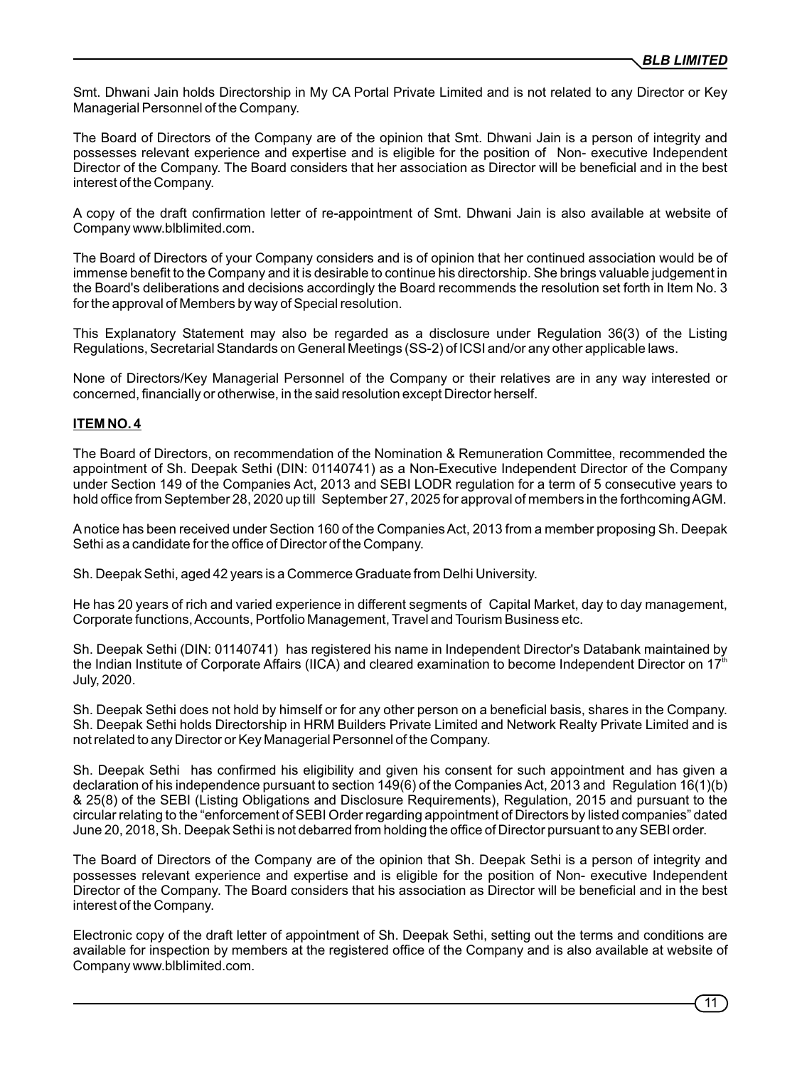Smt. Dhwani Jain holds Directorship in My CA Portal Private Limited and is not related to any Director or Key Managerial Personnel of the Company.

The Board of Directors of the Company are of the opinion that Smt. Dhwani Jain is a person of integrity and possesses relevant experience and expertise and is eligible for the position of Non- executive Independent Director of the Company. The Board considers that her association as Director will be beneficial and in the best interest of the Company.

A copy of the draft confirmation letter of re-appointment of Smt. Dhwani Jain is also available at website of Company www.blblimited.com.

The Board of Directors of your Company considers and is of opinion that her continued association would be of immense benefit to the Company and it is desirable to continue his directorship. She brings valuable judgement in the Board's deliberations and decisions accordingly the Board recommends the resolution set forth in Item No. 3 for the approval of Members by way of Special resolution.

This Explanatory Statement may also be regarded as a disclosure under Regulation 36(3) of the Listing Regulations, Secretarial Standards on General Meetings (SS-2) of ICSI and/or any other applicable laws.

None of Directors/Key Managerial Personnel of the Company or their relatives are in any way interested or concerned, financially or otherwise, in the said resolution except Director herself.

# **ITEM NO. 4**

The Board of Directors, on recommendation of the Nomination & Remuneration Committee, recommended the appointment of Sh. Deepak Sethi (DIN: 01140741) as a Non-Executive Independent Director of the Company under Section 149 of the Companies Act, 2013 and SEBI LODR regulation for a term of 5 consecutive years to hold office from September 28, 2020 up till September 27, 2025 for approval of members in the forthcoming AGM.

Anotice has been received under Section 160 of the Companies Act, 2013 from a member proposing Sh. Deepak Sethi as a candidate for the office of Director of the Company.

Sh. Deepak Sethi, aged 42 years is a Commerce Graduate from Delhi University.

He has 20 years of rich and varied experience in different segments of Capital Market, day to day management, Corporate functions, Accounts, Portfolio Management, Travel and Tourism Business etc.

Sh. Deepak Sethi (DIN: 01140741) has registered his name in Independent Director's Databank maintained by the Indian Institute of Corporate Affairs (IICA) and cleared examination to become Independent Director on  $17<sup>th</sup>$ July, 2020.

Sh. Deepak Sethi does not hold by himself or for any other person on a beneficial basis, shares in the Company. Sh. Deepak Sethi holds Directorship in HRM Builders Private Limited and Network Realty Private Limited and is not related to any Director or Key Managerial Personnel of the Company.

Sh. Deepak Sethi has confirmed his eligibility and given his consent for such appointment and has given a declaration of his independence pursuant to section 149(6) of the Companies Act, 2013 and Regulation 16(1)(b) & 25(8) of the SEBI (Listing Obligations and Disclosure Requirements), Regulation, 2015 and pursuant to the circular relating to the "enforcement of SEBI Order regarding appointment of Directors by listed companies" dated June 20, 2018, Sh. Deepak Sethi is not debarred from holding the office of Director pursuant to any SEBI order.

The Board of Directors of the Company are of the opinion that Sh. Deepak Sethi is a person of integrity and possesses relevant experience and expertise and is eligible for the position of Non- executive Independent Director of the Company. The Board considers that his association as Director will be beneficial and in the best interest of the Company.

Electronic copy of the draft letter of appointment of Sh. Deepak Sethi, setting out the terms and conditions are available for inspection by members at the registered office of the Company and is also available at website of Company www.blblimited.com.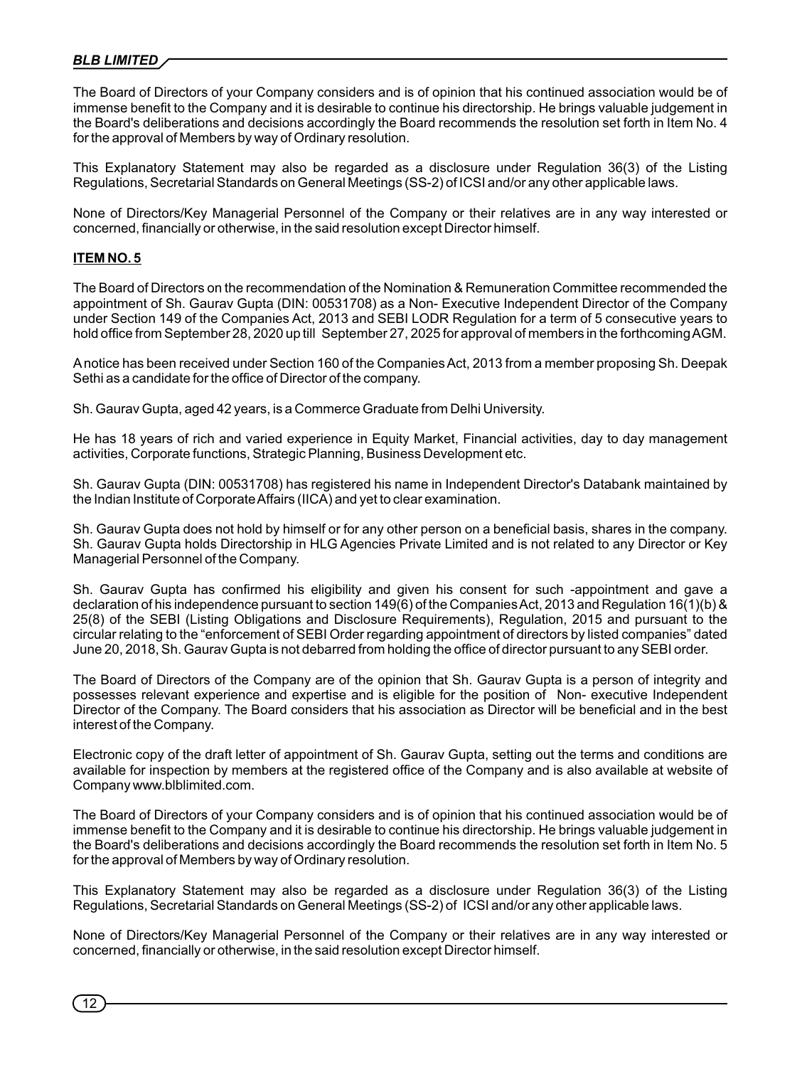The Board of Directors of your Company considers and is of opinion that his continued association would be of immense benefit to the Company and it is desirable to continue his directorship. He brings valuable judgement in the Board's deliberations and decisions accordingly the Board recommends the resolution set forth in Item No. 4 for the approval of Members by way of Ordinary resolution.

This Explanatory Statement may also be regarded as a disclosure under Regulation 36(3) of the Listing Regulations, Secretarial Standards on General Meetings (SS-2) of ICSI and/or any other applicable laws.

None of Directors/Key Managerial Personnel of the Company or their relatives are in any way interested or concerned, financially or otherwise, in the said resolution except Director himself.

## **ITEM NO. 5**

The Board of Directors on the recommendation of the Nomination & Remuneration Committee recommended the appointment of Sh. Gaurav Gupta (DIN: 00531708) as a Non- Executive Independent Director of the Company under Section 149 of the Companies Act, 2013 and SEBI LODR Regulation for a term of 5 consecutive years to hold office from September 28, 2020 up till September 27, 2025 for approval of members in the forthcoming AGM.

Anotice has been received under Section 160 of the Companies Act, 2013 from a member proposing Sh. Deepak Sethi as a candidate for the office of Director of the company.

Sh. Gaurav Gupta, aged 42 years, is a Commerce Graduate from Delhi University.

He has 18 years of rich and varied experience in Equity Market, Financial activities, day to day management activities, Corporate functions, Strategic Planning, Business Development etc.

Sh. Gaurav Gupta (DIN: 00531708) has registered his name in Independent Director's Databank maintained by the Indian Institute of Corporate Affairs (IICA) and yet to clear examination.

Sh. Gaurav Gupta does not hold by himself or for any other person on a beneficial basis, shares in the company. Sh. Gaurav Gupta holds Directorship in HLG Agencies Private Limited and is not related to any Director or Key Managerial Personnel of the Company.

Sh. Gaurav Gupta has confirmed his eligibility and given his consent for such -appointment and gave a declaration of his independence pursuant to section 149(6) of the Companies Act, 2013 and Regulation 16(1)(b) & 25(8) of the SEBI (Listing Obligations and Disclosure Requirements), Regulation, 2015 and pursuant to the circular relating to the "enforcement of SEBI Order regarding appointment of directors by listed companies" dated June 20, 2018, Sh. Gaurav Gupta is not debarred from holding the office of director pursuant to any SEBI order.

The Board of Directors of the Company are of the opinion that Sh. Gaurav Gupta is a person of integrity and possesses relevant experience and expertise and is eligible for the position of Non- executive Independent Director of the Company. The Board considers that his association as Director will be beneficial and in the best interest of the Company.

Electronic copy of the draft letter of appointment of Sh. Gaurav Gupta, setting out the terms and conditions are available for inspection by members at the registered office of the Company and is also available at website of Company www.blblimited.com.

The Board of Directors of your Company considers and is of opinion that his continued association would be of immense benefit to the Company and it is desirable to continue his directorship. He brings valuable judgement in the Board's deliberations and decisions accordingly the Board recommends the resolution set forth in Item No. 5 for the approval of Members by way of Ordinary resolution.

This Explanatory Statement may also be regarded as a disclosure under Regulation 36(3) of the Listing Regulations, Secretarial Standards on General Meetings (SS-2) of ICSI and/or any other applicable laws.

None of Directors/Key Managerial Personnel of the Company or their relatives are in any way interested or concerned, financially or otherwise, in the said resolution except Director himself.